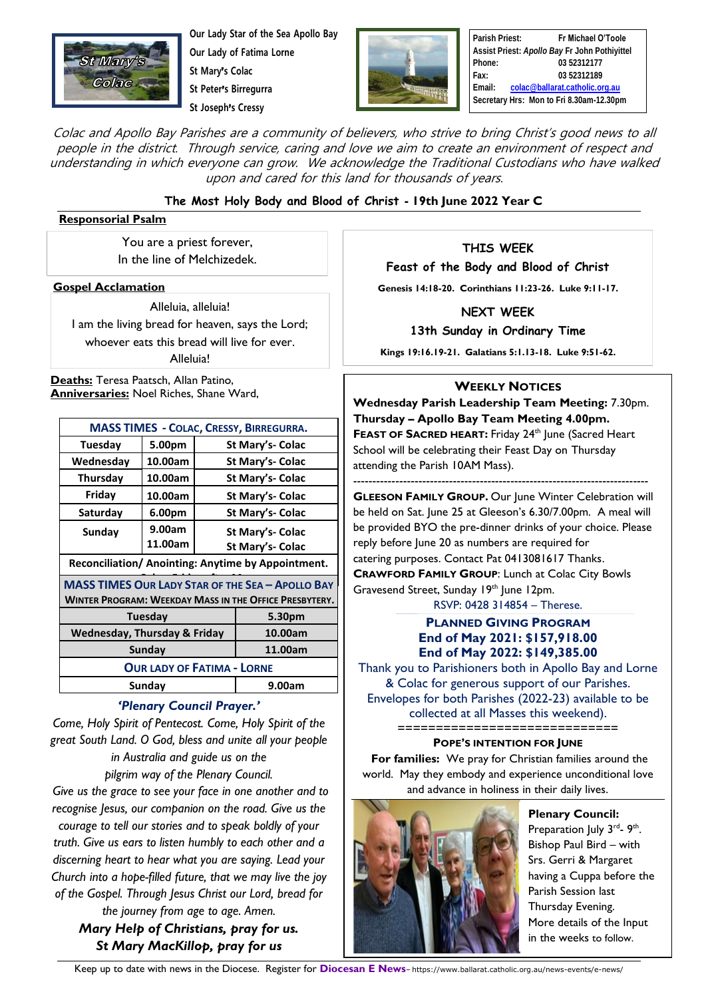

**Our Lady Star of the Sea Apollo Bay Our Lady of Fatima Lorne St Mary**'**s Colac St Peter**'**s Birregurra**

**St Joseph**'**s Cressy**



**Parish Priest: Fr Michael O'Toole Assist Priest:** *Apollo Bay* **Fr John Pothiyittel Phone: 03 52312177 Fax: 03 52312189 Email: [colac@ballarat.catholic.org.au](mailto:colac@ballarat.catholic.org.au) Secretary Hrs: Mon to Fri 8.30am-12.30pm**

Colac and Apollo Bay Parishes are a community of believers, who strive to bring Christ's good news to all people in the district. Through service, caring and love we aim to create an environment of respect and understanding in which everyone can grow. We acknowledge the Traditional Custodians who have walked upon and cared for this land for thousands of years.

### **The Most Holy Body and Blood of Christ - 19th June 2022 Year C**

#### **Responsorial Psalm**

You are a priest forever, In the line of Melchizedek.

**Gospel Acclamation**

Alleluia, alleluia! I am the living bread for heaven, says the Lord; whoever eats this bread will live for ever. Alleluia!

**Deaths:** Teresa Paatsch, Allan Patino, **Anniversaries:** Noel Riches, Shane Ward,

| <b>MASS TIMES - COLAC, CRESSY, BIRREGURRA.</b>          |         |                  |                  |
|---------------------------------------------------------|---------|------------------|------------------|
| Tuesday                                                 | 5.00pm  | St Mary's- Colac |                  |
| Wednesday                                               | 10.00am | St Mary's- Colac |                  |
| Thursday                                                | 10.00am | St Mary's- Colac |                  |
| Friday                                                  | 10.00am | St Mary's- Colac |                  |
| Saturday                                                | 6.00pm  | St Mary's- Colac |                  |
| Sunday                                                  | 9.00am  | St Mary's- Colac |                  |
|                                                         | 11.00am |                  | St Mary's- Colac |
| Reconciliation/ Anointing: Anytime by Appointment.      |         |                  |                  |
| <b>MASS TIMES OUR LADY STAR OF THE SEA - APOLLO BAY</b> |         |                  |                  |
| WINTER PROGRAM: WEEKDAY MASS IN THE OFFICE PRESBYTERY.  |         |                  |                  |
| Tuesday                                                 |         |                  | 5.30pm           |
| Wednesday, Thursday & Friday                            |         |                  | 10.00am          |
| Sunday                                                  |         |                  | 11.00am          |
| <b>OUR LADY OF FATIMA - LORNE</b>                       |         |                  |                  |
| Sunday                                                  |         |                  | 9.00am           |
|                                                         |         |                  |                  |

### *'Plenary Council Prayer.'*

*Come, Holy Spirit of Pentecost. Come, Holy Spirit of the great South Land. O God, bless and unite all your people in Australia and guide us on the pilgrim way of the Plenary Council.*

*Give us the grace to see your face in one another and to recognise Jesus, our companion on the road. Give us the courage to tell our stories and to speak boldly of your truth. Give us ears to listen humbly to each other and a discerning heart to hear what you are saying. Lead your Church into a hope-filled future, that we may live the joy of the Gospel. Through Jesus Christ our Lord, bread for the journey from age to age. Amen.* 

*Mary Help of Christians, pray for us. St Mary MacKillop, pray for us*

**THIS WEEK**

**Feast of the Body and Blood of Christ**

**Genesis 14:18-20. Corinthians 11:23-26. Luke 9:11-17.**

**NEXT WEEK**

**13th Sunday in Ordinary Time** 

**Kings 19:16.19-21. Galatians 5:1.13-18. Luke 9:51-62.**

### **WEEKLY NOTICES**

**Wednesday Parish Leadership Team Meeting:** 7.30pm. **Thursday – Apollo Bay Team Meeting 4.00pm. FEAST OF SACRED HEART:** Friday 24th June (Sacred Heart School will be celebrating their Feast Day on Thursday attending the Parish 10AM Mass).

----------------------------------------------------------------------------- **GLEESON FAMILY GROUP.** Our June Winter Celebration will be held on Sat. June 25 at Gleeson's 6.30/7.00pm. A meal will be provided BYO the pre-dinner drinks of your choice. Please reply before June 20 as numbers are required for catering purposes. Contact Pat 0413081617 Thanks. **CRAWFORD FAMILY GROUP**: Lunch at Colac City Bowls Gravesend Street, Sunday 19<sup>th</sup> June 12pm.

RSVP: 0428 314854 – Therese.

### **PLANNED GIVING PROGRAM End of May 2021: \$157,918.00 End of May 2022: \$149,385.00**

Thank you to Parishioners both in Apollo Bay and Lorne & Colac for generous support of our Parishes. Envelopes for both Parishes (2022-23) available to be collected at all Masses this weekend). =============================

**POPE'S INTENTION FOR JUNE For families:** We pray for Christian families around the world. May they embody and experience unconditional love and advance in holiness in their daily lives.



**Plenary Council:** Preparation July 3<sup>rd</sup>- 9<sup>th</sup>. Bishop Paul Bird – with Srs. Gerri & Margaret having a Cuppa before the Parish Session last Thursday Evening. More details of the Input in the weeks to follow.